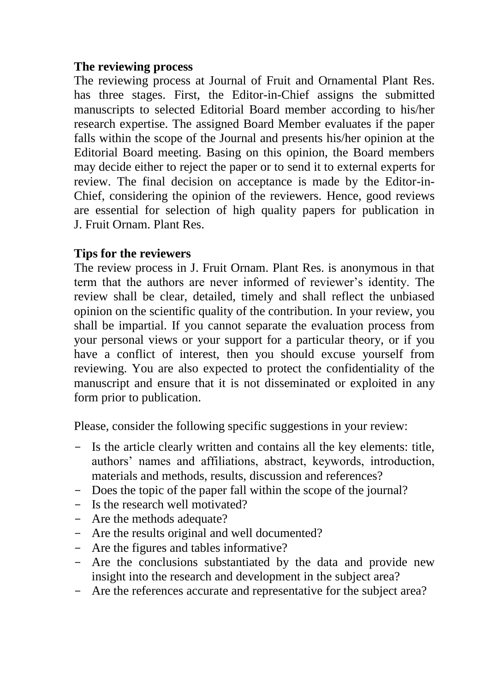## **The reviewing process**

The reviewing process at Journal of Fruit and Ornamental Plant Res. has three stages. First, the Editor-in-Chief assigns the submitted manuscripts to selected Editorial Board member according to his/her research expertise. The assigned Board Member evaluates if the paper falls within the scope of the Journal and presents his/her opinion at the Editorial Board meeting. Basing on this opinion, the Board members may decide either to reject the paper or to send it to external experts for review. The final decision on acceptance is made by the Editor-in-Chief, considering the opinion of the reviewers. Hence, good reviews are essential for selection of high quality papers for publication in J. Fruit Ornam. Plant Res.

## **Tips for the reviewers**

The review process in J. Fruit Ornam. Plant Res. is anonymous in that term that the authors are never informed of reviewer's identity. The review shall be clear, detailed, timely and shall reflect the unbiased opinion on the scientific quality of the contribution. In your review, you shall be impartial. If you cannot separate the evaluation process from your personal views or your support for a particular theory, or if you have a conflict of interest, then you should excuse yourself from reviewing. You are also expected to protect the confidentiality of the manuscript and ensure that it is not disseminated or exploited in any form prior to publication.

Please, consider the following specific suggestions in your review:

- Is the article clearly written and contains all the key elements: title, authors' names and affiliations, abstract, keywords, introduction, materials and methods, results, discussion and references?
- Does the topic of the paper fall within the scope of the journal?
- Is the research well motivated?
- Are the methods adequate?
- Are the results original and well documented?
- Are the figures and tables informative?
- Are the conclusions substantiated by the data and provide new insight into the research and development in the subject area?
- Are the references accurate and representative for the subject area?